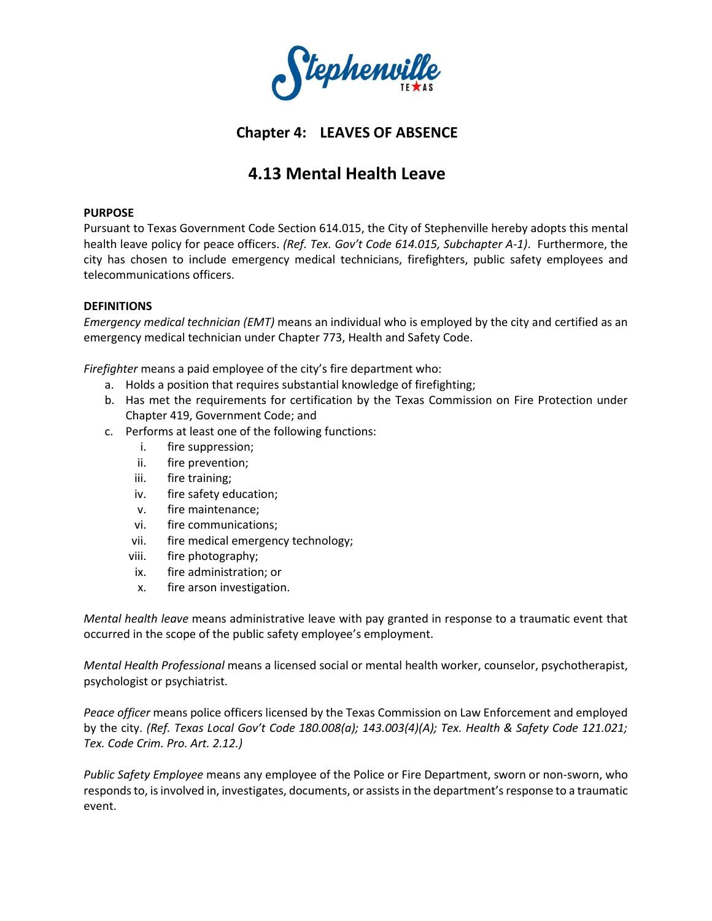

# **Chapter 4: LEAVES OF ABSENCE**

# **4.13 Mental Health Leave**

# **PURPOSE**

Pursuant to Texas Government Code Section 614.015, the City of Stephenville hereby adopts this mental health leave policy for peace officers. *(Ref. Tex. Gov't Code 614.015, Subchapter A-1)*. Furthermore, the city has chosen to include emergency medical technicians, firefighters, public safety employees and telecommunications officers.

# **DEFINITIONS**

*Emergency medical technician (EMT)* means an individual who is employed by the city and certified as an emergency medical technician under Chapter 773, Health and Safety Code.

*Firefighter* means a paid employee of the city's fire department who:

- a. Holds a position that requires substantial knowledge of firefighting;
- b. Has met the requirements for certification by the Texas Commission on Fire Protection under Chapter 419, Government Code; and
- c. Performs at least one of the following functions:
	- i. fire suppression;
	- ii. fire prevention;
	- iii. fire training;
	- iv. fire safety education;
	- v. fire maintenance;
	- vi. fire communications;
	- vii. fire medical emergency technology;
	- viii. fire photography;
	- ix. fire administration; or
	- x. fire arson investigation.

*Mental health leave* means administrative leave with pay granted in response to a traumatic event that occurred in the scope of the public safety employee's employment.

*Mental Health Professional* means a licensed social or mental health worker, counselor, psychotherapist, psychologist or psychiatrist.

*Peace officer* means police officers licensed by the Texas Commission on Law Enforcement and employed by the city. *(Ref. Texas Local Gov't Code 180.008(a); 143.003(4)(A); Tex. Health & Safety Code 121.021; Tex. Code Crim. Pro. Art. 2.12.)*

*Public Safety Employee* means any employee of the Police or Fire Department, sworn or non-sworn, who responds to, is involved in, investigates, documents, or assists in the department's response to a traumatic event.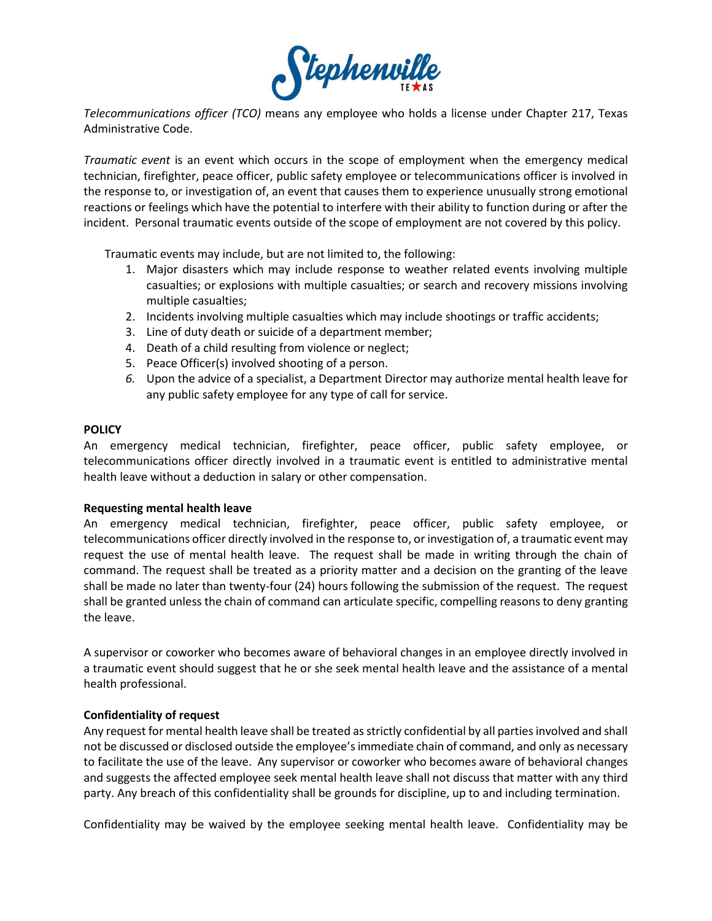

*Telecommunications officer (TCO)* means any employee who holds a license under Chapter 217, Texas Administrative Code.

*Traumatic event* is an event which occurs in the scope of employment when the emergency medical technician, firefighter, peace officer, public safety employee or telecommunications officer is involved in the response to, or investigation of, an event that causes them to experience unusually strong emotional reactions or feelings which have the potential to interfere with their ability to function during or after the incident. Personal traumatic events outside of the scope of employment are not covered by this policy.

Traumatic events may include, but are not limited to, the following:

- 1. Major disasters which may include response to weather related events involving multiple casualties; or explosions with multiple casualties; or search and recovery missions involving multiple casualties;
- 2. Incidents involving multiple casualties which may include shootings or traffic accidents;
- 3. Line of duty death or suicide of a department member;
- 4. Death of a child resulting from violence or neglect;
- 5. Peace Officer(s) involved shooting of a person.
- *6.* Upon the advice of a specialist, a Department Director may authorize mental health leave for any public safety employee for any type of call for service.

#### **POLICY**

An emergency medical technician, firefighter, peace officer, public safety employee, or telecommunications officer directly involved in a traumatic event is entitled to administrative mental health leave without a deduction in salary or other compensation.

#### **Requesting mental health leave**

An emergency medical technician, firefighter, peace officer, public safety employee, or telecommunications officer directly involved in the response to, or investigation of, a traumatic event may request the use of mental health leave. The request shall be made in writing through the chain of command. The request shall be treated as a priority matter and a decision on the granting of the leave shall be made no later than twenty-four (24) hours following the submission of the request. The request shall be granted unless the chain of command can articulate specific, compelling reasons to deny granting the leave.

A supervisor or coworker who becomes aware of behavioral changes in an employee directly involved in a traumatic event should suggest that he or she seek mental health leave and the assistance of a mental health professional.

#### **Confidentiality of request**

Any request for mental health leave shall be treated as strictly confidential by all parties involved and shall not be discussed or disclosed outside the employee'simmediate chain of command, and only as necessary to facilitate the use of the leave. Any supervisor or coworker who becomes aware of behavioral changes and suggests the affected employee seek mental health leave shall not discuss that matter with any third party. Any breach of this confidentiality shall be grounds for discipline, up to and including termination.

Confidentiality may be waived by the employee seeking mental health leave. Confidentiality may be